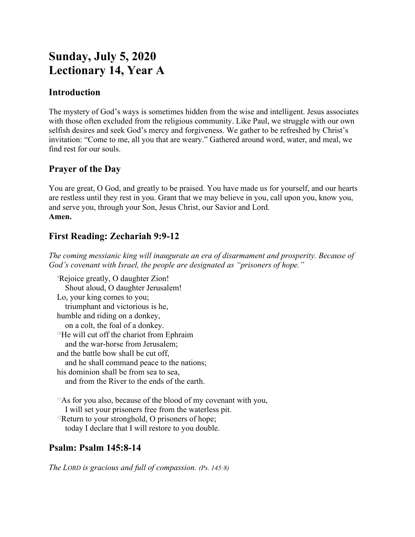# **Sunday, July 5, 2020 Lectionary 14, Year A**

## **Introduction**

The mystery of God's ways is sometimes hidden from the wise and intelligent. Jesus associates with those often excluded from the religious community. Like Paul, we struggle with our own selfish desires and seek God's mercy and forgiveness. We gather to be refreshed by Christ's invitation: "Come to me, all you that are weary." Gathered around word, water, and meal, we find rest for our souls.

## **Prayer of the Day**

You are great, O God, and greatly to be praised. You have made us for yourself, and our hearts are restless until they rest in you. Grant that we may believe in you, call upon you, know you, and serve you, through your Son, Jesus Christ, our Savior and Lord. **Amen.**

# **First Reading: Zechariah 9:9-12**

*The coming messianic king will inaugurate an era of disarmament and prosperity. Because of God's covenant with Israel, the people are designated as "prisoners of hope."*

<sup>9</sup>Rejoice greatly, O daughter Zion! Shout aloud, O daughter Jerusalem! Lo, your king comes to you; triumphant and victorious is he, humble and riding on a donkey, on a colt, the foal of a donkey. <sup>10</sup>He will cut off the chariot from Ephraim and the war-horse from Jerusalem; and the battle bow shall be cut off, and he shall command peace to the nations; his dominion shall be from sea to sea, and from the River to the ends of the earth.

<sup>11</sup>As for you also, because of the blood of my covenant with you, I will set your prisoners free from the waterless pit.  $12$ Return to your stronghold, O prisoners of hope; today I declare that I will restore to you double.

# **Psalm: Psalm 145:8-14**

*The LORD is gracious and full of compassion. (Ps. 145:8)*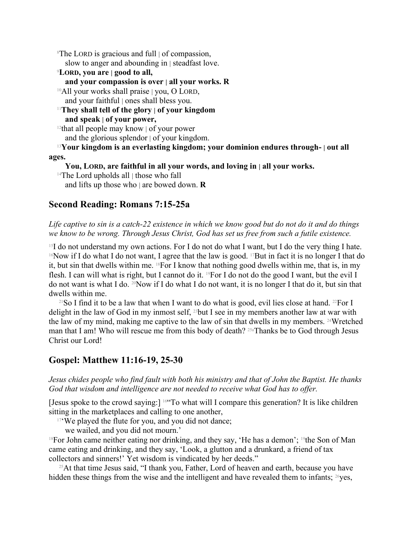<sup>8</sup>The LORD is gracious and full | of compassion, slow to anger and abounding in | steadfast love.

<sup>9</sup>**LORD, you are | good to all,**

#### **and your compassion is over | all your works. R**

<sup>10</sup>All your works shall praise | you, O LORD, and your faithful | ones shall bless you.

<sup>11</sup>**They shall tell of the glory | of your kingdom**

**and speak | of your power,**

<sup>12</sup>that all people may know  $\vert$  of your power

and the glorious splendor | of your kingdom.

<sup>13</sup>**Your kingdom is an everlasting kingdom; your dominion endures through- | out all ages.**

**You, LORD, are faithful in all your words, and loving in | all your works.**

<sup>14</sup>The Lord upholds all | those who fall

and lifts up those who | are bowed down. **R**

### **Second Reading: Romans 7:15-25a**

#### *Life captive to sin is a catch-22 existence in which we know good but do not do it and do things we know to be wrong. Through Jesus Christ, God has set us free from such a futile existence.*

 $15I$  do not understand my own actions. For I do not do what I want, but I do the very thing I hate. <sup>16</sup>Now if I do what I do not want, I agree that the law is good. <sup>17</sup>But in fact it is no longer I that do it, but sin that dwells within me.  $18$ For I know that nothing good dwells within me, that is, in my flesh. I can will what is right, but I cannot do it. 19For I do not do the good I want, but the evil I do not want is what I do.  $^{20}$ Now if I do what I do not want, it is no longer I that do it, but sin that dwells within me.

<sup>21</sup>So I find it to be a law that when I want to do what is good, evil lies close at hand. <sup>22</sup>For I delight in the law of God in my inmost self, <sup>23</sup>but I see in my members another law at war with the law of my mind, making me captive to the law of sin that dwells in my members. 24Wretched man that I am! Who will rescue me from this body of death? 25aThanks be to God through Jesus Christ our Lord!

### **Gospel: Matthew 11:16-19, 25-30**

#### *Jesus chides people who find fault with both his ministry and that of John the Baptist. He thanks God that wisdom and intelligence are not needed to receive what God has to offer.*

[Jesus spoke to the crowd saying:] 16"To what will I compare this generation? It is like children sitting in the marketplaces and calling to one another,

<sup>17</sup>'We played the flute for you, and you did not dance;

we wailed, and you did not mourn.'

<sup>18</sup>For John came neither eating nor drinking, and they say, 'He has a demon'; <sup>19</sup>the Son of Man came eating and drinking, and they say, 'Look, a glutton and a drunkard, a friend of tax collectors and sinners!' Yet wisdom is vindicated by her deeds."

 $25$ At that time Jesus said, "I thank you, Father, Lord of heaven and earth, because you have hidden these things from the wise and the intelligent and have revealed them to infants;  $^{26}$ yes,